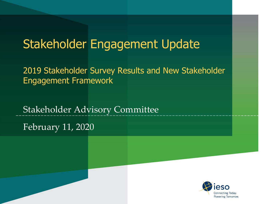#### Stakeholder Engagement Update

2019 Stakeholder Survey Results and New Stakeholder Engagement Framework

Stakeholder Advisory Committee

February 11, 2020

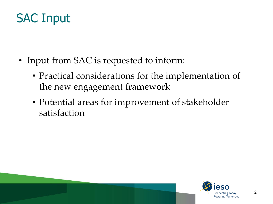## SAC Input

- Input from SAC is requested to inform:
	- Practical considerations for the implementation of the new engagement framework
	- Potential areas for improvement of stakeholder satisfaction

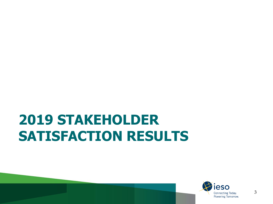# **2019 STAKEHOLDER SATISFACTION RESULTS**

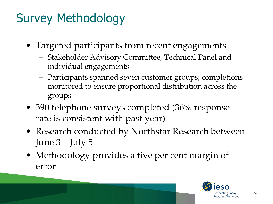## Survey Methodology

- Targeted participants from recent engagements
	- Stakeholder Advisory Committee, Technical Panel and individual engagements
	- Participants spanned seven customer groups; completions monitored to ensure proportional distribution across the groups
- 390 telephone surveys completed (36% response rate is consistent with past year)
- Research conducted by Northstar Research between June 3 – July 5
- Methodology provides a five per cent margin of error

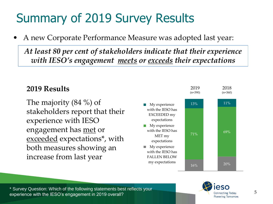## Summary of 2019 Survey Results

• A new Corporate Performance Measure was adopted last year:

*At least 80 per cent of stakeholders indicate that their experience with IESO's engagement meets or exceeds their expectations*

#### **2019 Results**

The majority (84 %) of stakeholders report that their experience with IESO engagement has met or exceeded expectations\*, with both measures showing an increase from last year



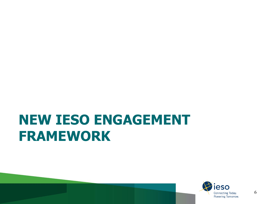## **NEW IESO ENGAGEMENT FRAMEWORK**

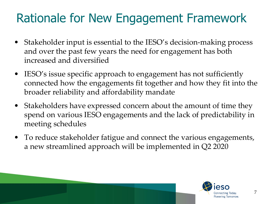## Rationale for New Engagement Framework

- Stakeholder input is essential to the IESO's decision-making process and over the past few years the need for engagement has both increased and diversified
- IESO's issue specific approach to engagement has not sufficiently connected how the engagements fit together and how they fit into the broader reliability and affordability mandate
- Stakeholders have expressed concern about the amount of time they spend on various IESO engagements and the lack of predictability in meeting schedules
- To reduce stakeholder fatigue and connect the various engagements, a new streamlined approach will be implemented in Q2 2020

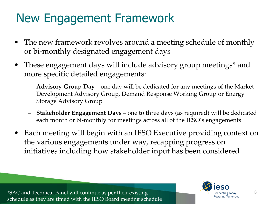## New Engagement Framework

- The new framework revolves around a meeting schedule of monthly or bi-monthly designated engagement days
- These engagement days will include advisory group meetings\* and more specific detailed engagements:
	- **Advisory Group Day**  one day will be dedicated for any meetings of the Market Development Advisory Group, Demand Response Working Group or Energy Storage Advisory Group
	- **Stakeholder Engagement Days**  one to three days (as required) will be dedicated each month or bi-monthly for meetings across all of the IESO's engagements
- Each meeting will begin with an IESO Executive providing context on the various engagements under way, recapping progress on initiatives including how stakeholder input has been considered

\*SAC and Technical Panel will continue as per their existing schedule as they are timed with the IESO Board meeting schedule



8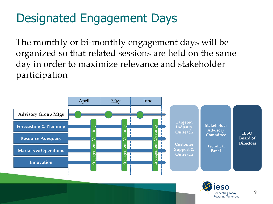## Designated Engagement Days

The monthly or bi-monthly engagement days will be organized so that related sessions are held on the same day in order to maximize relevance and stakeholder participation



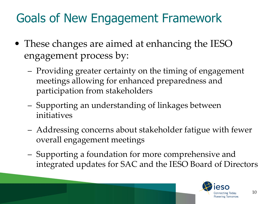## Goals of New Engagement Framework

- These changes are aimed at enhancing the IESO engagement process by:
	- Providing greater certainty on the timing of engagement meetings allowing for enhanced preparedness and participation from stakeholders
	- Supporting an understanding of linkages between initiatives
	- Addressing concerns about stakeholder fatigue with fewer overall engagement meetings
	- Supporting a foundation for more comprehensive and integrated updates for SAC and the IESO Board of Directors